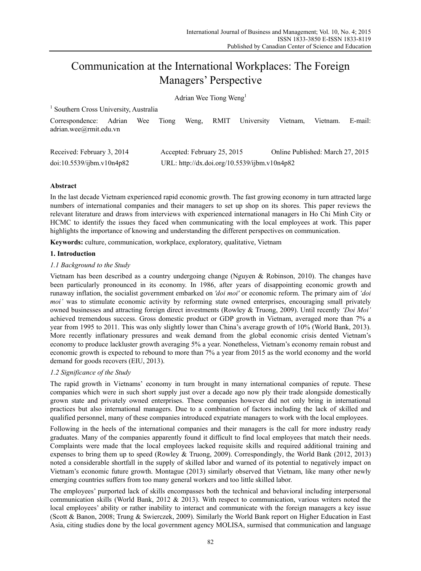# Communication at the International Workplaces: The Foreign Managers' Perspective

Adrian Wee Tiong Weng<sup>1</sup>

| <sup>1</sup> Southern Cross University, Australia |  |     |                                              |       |      |            |                                  |          |         |  |  |
|---------------------------------------------------|--|-----|----------------------------------------------|-------|------|------------|----------------------------------|----------|---------|--|--|
| Correspondence: Adrian<br>adrian.wee@rmit.edu.vn  |  | Wee | Tiong                                        | Weng, | RMIT | University | Vietnam,                         | Vietnam. | E-mail: |  |  |
| Received: February 3, 2014                        |  |     | Accepted: February 25, 2015                  |       |      |            | Online Published: March 27, 2015 |          |         |  |  |
| doi:10.5539/ijbm.v10n4p82                         |  |     | URL: http://dx.doi.org/10.5539/ijbm.v10n4p82 |       |      |            |                                  |          |         |  |  |

# **Abstract**

In the last decade Vietnam experienced rapid economic growth. The fast growing economy in turn attracted large numbers of international companies and their managers to set up shop on its shores. This paper reviews the relevant literature and draws from interviews with experienced international managers in Ho Chi Minh City or HCMC to identify the issues they faced when communicating with the local employees at work. This paper highlights the importance of knowing and understanding the different perspectives on communication.

**Keywords:** culture, communication, workplace, exploratory, qualitative, Vietnam

# **1. Introduction**

# *1.1 Background to the Study*

Vietnam has been described as a country undergoing change (Nguyen & Robinson, 2010). The changes have been particularly pronounced in its economy. In 1986, after years of disappointing economic growth and runaway inflation, the socialist government embarked on *'doi moi'* or economic reform. The primary aim of *'doi moi'* was to stimulate economic activity by reforming state owned enterprises, encouraging small privately owned businesses and attracting foreign direct investments (Rowley & Truong, 2009). Until recently *'Doi Moi'* achieved tremendous success. Gross domestic product or GDP growth in Vietnam, averaged more than 7% a year from 1995 to 2011. This was only slightly lower than China's average growth of 10% (World Bank, 2013). More recently inflationary pressures and weak demand from the global economic crisis dented Vietnam's economy to produce lackluster growth averaging 5% a year. Nonetheless, Vietnam's economy remain robust and economic growth is expected to rebound to more than 7% a year from 2015 as the world economy and the world demand for goods recovers (EIU, 2013).

# *1.2 Significance of the Study*

The rapid growth in Vietnams' economy in turn brought in many international companies of repute. These companies which were in such short supply just over a decade ago now ply their trade alongside domestically grown state and privately owned enterprises. These companies however did not only bring in international practices but also international managers. Due to a combination of factors including the lack of skilled and qualified personnel, many of these companies introduced expatriate managers to work with the local employees.

Following in the heels of the international companies and their managers is the call for more industry ready graduates. Many of the companies apparently found it difficult to find local employees that match their needs. Complaints were made that the local employees lacked requisite skills and required additional training and expenses to bring them up to speed (Rowley & Truong, 2009). Correspondingly, the World Bank (2012, 2013) noted a considerable shortfall in the supply of skilled labor and warned of its potential to negatively impact on Vietnam's economic future growth. Montague (2013) similarly observed that Vietnam, like many other newly emerging countries suffers from too many general workers and too little skilled labor.

The employees' purported lack of skills encompasses both the technical and behavioral including interpersonal communication skills (World Bank, 2012 & 2013). With respect to communication, various writers noted the local employees' ability or rather inability to interact and communicate with the foreign managers a key issue (Scott & Banon, 2008; Trung & Swierczek, 2009). Similarly the World Bank report on Higher Education in East Asia, citing studies done by the local government agency MOLISA, surmised that communication and language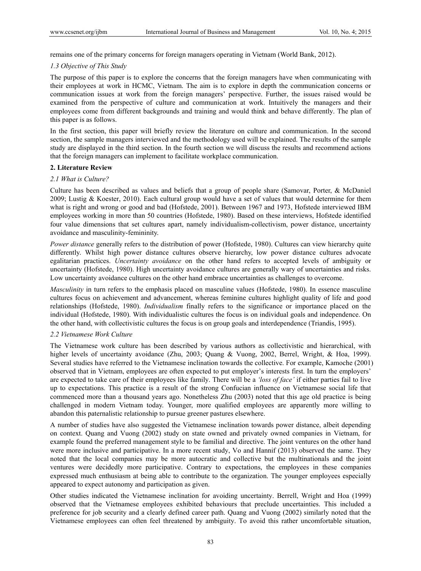remains one of the primary concerns for foreign managers operating in Vietnam (World Bank, 2012).

#### *1.3 Objective of This Study*

The purpose of this paper is to explore the concerns that the foreign managers have when communicating with their employees at work in HCMC, Vietnam. The aim is to explore in depth the communication concerns or communication issues at work from the foreign managers' perspective. Further, the issues raised would be examined from the perspective of culture and communication at work. Intuitively the managers and their employees come from different backgrounds and training and would think and behave differently. The plan of this paper is as follows.

In the first section, this paper will briefly review the literature on culture and communication. In the second section, the sample managers interviewed and the methodology used will be explained. The results of the sample study are displayed in the third section. In the fourth section we will discuss the results and recommend actions that the foreign managers can implement to facilitate workplace communication.

## **2. Literature Review**

#### *2.1 What is Culture?*

Culture has been described as values and beliefs that a group of people share (Samovar, Porter, & McDaniel 2009; Lustig & Koester, 2010). Each cultural group would have a set of values that would determine for them what is right and wrong or good and bad (Hofstede, 2001). Between 1967 and 1973, Hofstede interviewed IBM employees working in more than 50 countries (Hofstede, 1980). Based on these interviews, Hofstede identified four value dimensions that set cultures apart, namely individualism-collectivism, power distance, uncertainty avoidance and masculinity-femininity.

*Power distance* generally refers to the distribution of power (Hofstede, 1980). Cultures can view hierarchy quite differently. Whilst high power distance cultures observe hierarchy, low power distance cultures advocate egalitarian practices. *Uncertainty avoidance* on the other hand refers to accepted levels of ambiguity or uncertainty (Hofstede, 1980). High uncertainty avoidance cultures are generally wary of uncertainties and risks. Low uncertainty avoidance cultures on the other hand embrace uncertainties as challenges to overcome.

*Masculinity* in turn refers to the emphasis placed on masculine values (Hofstede, 1980). In essence masculine cultures focus on achievement and advancement, whereas feminine cultures highlight quality of life and good relationships (Hofstede, 1980). *Individualism* finally refers to the significance or importance placed on the individual (Hofstede, 1980). With individualistic cultures the focus is on individual goals and independence. On the other hand, with collectivistic cultures the focus is on group goals and interdependence (Triandis, 1995).

#### *2.2 Vietnamese Work Culture*

The Vietnamese work culture has been described by various authors as collectivistic and hierarchical, with higher levels of uncertainty avoidance (Zhu, 2003; Quang & Vuong, 2002, Berrel, Wright, & Hoa, 1999). Several studies have referred to the Vietnamese inclination towards the collective. For example, Kamoche (2001) observed that in Vietnam, employees are often expected to put employer's interests first. In turn the employers' are expected to take care of their employees like family. There will be a *'loss of face'* if either parties fail to live up to expectations. This practice is a result of the strong Confucian influence on Vietnamese social life that commenced more than a thousand years ago. Nonetheless Zhu (2003) noted that this age old practice is being challenged in modern Vietnam today. Younger, more qualified employees are apparently more willing to abandon this paternalistic relationship to pursue greener pastures elsewhere.

A number of studies have also suggested the Vietnamese inclination towards power distance, albeit depending on context. Quang and Vuong (2002) study on state owned and privately owned companies in Vietnam, for example found the preferred management style to be familial and directive. The joint ventures on the other hand were more inclusive and participative. In a more recent study, Vo and Hannif (2013) observed the same. They noted that the local companies may be more autocratic and collective but the multinationals and the joint ventures were decidedly more participative. Contrary to expectations, the employees in these companies expressed much enthusiasm at being able to contribute to the organization. The younger employees especially appeared to expect autonomy and participation as given.

Other studies indicated the Vietnamese inclination for avoiding uncertainty. Berrell, Wright and Hoa (1999) observed that the Vietnamese employees exhibited behaviours that preclude uncertainties. This included a preference for job security and a clearly defined career path. Quang and Vuong (2002) similarly noted that the Vietnamese employees can often feel threatened by ambiguity. To avoid this rather uncomfortable situation,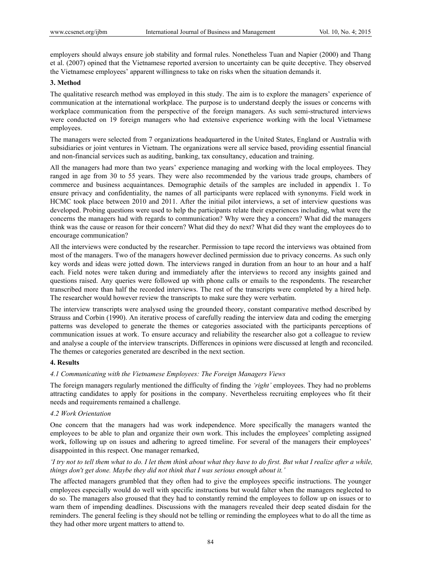employers should always ensure job stability and formal rules. Nonetheless Tuan and Napier (2000) and Thang et al. (2007) opined that the Vietnamese reported aversion to uncertainty can be quite deceptive. They observed the Vietnamese employees' apparent willingness to take on risks when the situation demands it.

## **3. Method**

The qualitative research method was employed in this study. The aim is to explore the managers' experience of communication at the international workplace. The purpose is to understand deeply the issues or concerns with workplace communication from the perspective of the foreign managers. As such semi-structured interviews were conducted on 19 foreign managers who had extensive experience working with the local Vietnamese employees.

The managers were selected from 7 organizations headquartered in the United States, England or Australia with subsidiaries or joint ventures in Vietnam. The organizations were all service based, providing essential financial and non-financial services such as auditing, banking, tax consultancy, education and training.

All the managers had more than two years' experience managing and working with the local employees. They ranged in age from 30 to 55 years. They were also recommended by the various trade groups, chambers of commerce and business acquaintances. Demographic details of the samples are included in appendix 1. To ensure privacy and confidentiality, the names of all participants were replaced with synonyms. Field work in HCMC took place between 2010 and 2011. After the initial pilot interviews, a set of interview questions was developed. Probing questions were used to help the participants relate their experiences including, what were the concerns the managers had with regards to communication? Why were they a concern? What did the managers think was the cause or reason for their concern? What did they do next? What did they want the employees do to encourage communication?

All the interviews were conducted by the researcher. Permission to tape record the interviews was obtained from most of the managers. Two of the managers however declined permission due to privacy concerns. As such only key words and ideas were jotted down. The interviews ranged in duration from an hour to an hour and a half each. Field notes were taken during and immediately after the interviews to record any insights gained and questions raised. Any queries were followed up with phone calls or emails to the respondents. The researcher transcribed more than half the recorded interviews. The rest of the transcripts were completed by a hired help. The researcher would however review the transcripts to make sure they were verbatim.

The interview transcripts were analysed using the grounded theory, constant comparative method described by Strauss and Corbin (1990). An iterative process of carefully reading the interview data and coding the emerging patterns was developed to generate the themes or categories associated with the participants perceptions of communication issues at work. To ensure accuracy and reliability the researcher also got a colleague to review and analyse a couple of the interview transcripts. Differences in opinions were discussed at length and reconciled. The themes or categories generated are described in the next section.

## **4. Results**

## *4.1 Communicating with the Vietnamese Employees: The Foreign Managers Views*

The foreign managers regularly mentioned the difficulty of finding the *'right'* employees. They had no problems attracting candidates to apply for positions in the company. Nevertheless recruiting employees who fit their needs and requirements remained a challenge.

## *4.2 Work Orientation*

One concern that the managers had was work independence. More specifically the managers wanted the employees to be able to plan and organize their own work. This includes the employees' completing assigned work, following up on issues and adhering to agreed timeline. For several of the managers their employees' disappointed in this respect. One manager remarked,

# *'I try not to tell them what to do. I let them think about what they have to do first. But what I realize after a while, things don't get done. Maybe they did not think that I was serious enough about it.'*

The affected managers grumbled that they often had to give the employees specific instructions. The younger employees especially would do well with specific instructions but would falter when the managers neglected to do so. The managers also groused that they had to constantly remind the employees to follow up on issues or to warn them of impending deadlines. Discussions with the managers revealed their deep seated disdain for the reminders. The general feeling is they should not be telling or reminding the employees what to do all the time as they had other more urgent matters to attend to.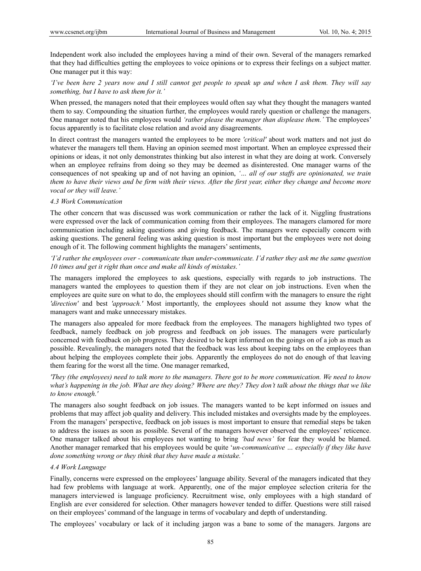Independent work also included the employees having a mind of their own. Several of the managers remarked that they had difficulties getting the employees to voice opinions or to express their feelings on a subject matter. One manager put it this way:

## *'I've been here 2 years now and I still cannot get people to speak up and when I ask them. They will say something, but I have to ask them for it.'*

When pressed, the managers noted that their employees would often say what they thought the managers wanted them to say. Compounding the situation further, the employees would rarely question or challenge the managers. One manager noted that his employees would *'rather please the manager than displease them.'* The employees' focus apparently is to facilitate close relation and avoid any disagreements.

In direct contrast the managers wanted the employees to be more *'critical'* about work matters and not just do whatever the managers tell them. Having an opinion seemed most important. When an employee expressed their opinions or ideas, it not only demonstrates thinking but also interest in what they are doing at work. Conversely when an employee refrains from doing so they may be deemed as disinterested. One manager warns of the consequences of not speaking up and of not having an opinion, *'… all of our staffs are opinionated, we train them to have their views and be firm with their views. After the first year, either they change and become more vocal or they will leave.'* 

#### *4.3 Work Communication*

The other concern that was discussed was work communication or rather the lack of it. Niggling frustrations were expressed over the lack of communication coming from their employees. The managers clamored for more communication including asking questions and giving feedback. The managers were especially concern with asking questions. The general feeling was asking question is most important but the employees were not doing enough of it. The following comment highlights the managers' sentiments,

*'I'd rather the employees over - communicate than under-communicate. I'd rather they ask me the same question 10 times and get it right than once and make all kinds of mistakes.'* 

The managers implored the employees to ask questions, especially with regards to job instructions. The managers wanted the employees to question them if they are not clear on job instructions. Even when the employees are quite sure on what to do, the employees should still confirm with the managers to ensure the right *'direction'* and best *'approach.'* Most importantly, the employees should not assume they know what the managers want and make unnecessary mistakes.

The managers also appealed for more feedback from the employees. The managers highlighted two types of feedback, namely feedback on job progress and feedback on job issues. The managers were particularly concerned with feedback on job progress. They desired to be kept informed on the goings on of a job as much as possible. Revealingly, the managers noted that the feedback was less about keeping tabs on the employees than about helping the employees complete their jobs. Apparently the employees do not do enough of that leaving them fearing for the worst all the time. One manager remarked,

# *'They (the employees) need to talk more to the managers. There got to be more communication. We need to know what's happening in the job. What are they doing? Where are they? They don't talk about the things that we like to know enough.'*

The managers also sought feedback on job issues. The managers wanted to be kept informed on issues and problems that may affect job quality and delivery. This included mistakes and oversights made by the employees. From the managers' perspective, feedback on job issues is most important to ensure that remedial steps be taken to address the issues as soon as possible. Several of the managers however observed the employees' reticence. One manager talked about his employees not wanting to bring *'bad news'* for fear they would be blamed. Another manager remarked that his employees would be quite '*un-communicative … especially if they like have done something wrong or they think that they have made a mistake.'*

## *4.4 Work Language*

Finally, concerns were expressed on the employees' language ability. Several of the managers indicated that they had few problems with language at work. Apparently, one of the major employee selection criteria for the managers interviewed is language proficiency. Recruitment wise, only employees with a high standard of English are ever considered for selection. Other managers however tended to differ. Questions were still raised on their employees' command of the language in terms of vocabulary and depth of understanding.

The employees' vocabulary or lack of it including jargon was a bane to some of the managers. Jargons are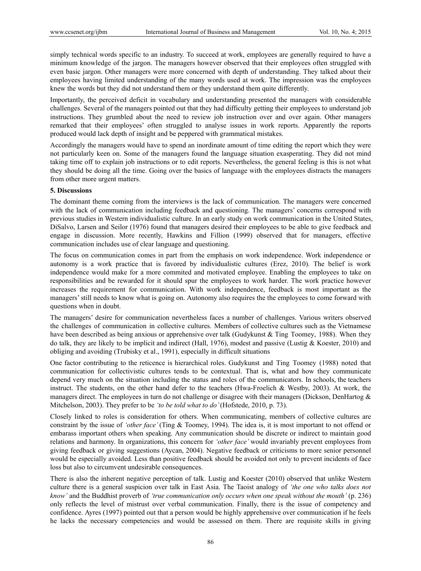simply technical words specific to an industry. To succeed at work, employees are generally required to have a minimum knowledge of the jargon. The managers however observed that their employees often struggled with even basic jargon. Other managers were more concerned with depth of understanding. They talked about their employees having limited understanding of the many words used at work. The impression was the employees knew the words but they did not understand them or they understand them quite differently.

Importantly, the perceived deficit in vocabulary and understanding presented the managers with considerable challenges. Several of the managers pointed out that they had difficulty getting their employees to understand job instructions. They grumbled about the need to review job instruction over and over again. Other managers remarked that their employees' often struggled to analyse issues in work reports. Apparently the reports produced would lack depth of insight and be peppered with grammatical mistakes.

Accordingly the managers would have to spend an inordinate amount of time editing the report which they were not particularly keen on. Some of the managers found the language situation exasperating. They did not mind taking time off to explain job instructions or to edit reports. Nevertheless, the general feeling is this is not what they should be doing all the time. Going over the basics of language with the employees distracts the managers from other more urgent matters.

## **5. Discussions**

The dominant theme coming from the interviews is the lack of communication. The managers were concerned with the lack of communication including feedback and questioning. The managers' concerns correspond with previous studies in Western individualistic culture. In an early study on work communication in the United States, DiSalvo, Larsen and Seilor (1976) found that managers desired their employees to be able to give feedback and engage in discussion. More recently, Hawkins and Fillion (1999) observed that for managers, effective communication includes use of clear language and questioning.

The focus on communication comes in part from the emphasis on work independence. Work independence or autonomy is a work practice that is favored by individualistic cultures (Erez, 2010). The belief is work independence would make for a more commited and motivated employee. Enabling the employees to take on responsibilities and be rewarded for it should spur the employees to work harder. The work practice however increases the requirement for communication. With work independence, feedback is most important as the managers' still needs to know what is going on. Autonomy also requires the the employees to come forward with questions when in doubt.

The managers' desire for communication nevertheless faces a number of challenges. Various writers observed the challenges of communication in collective cultures. Members of collective cultures such as the Vietnamese have been described as being anxious or apprehensive over talk (Gudykunst & Ting Toomey, 1988). When they do talk, they are likely to be implicit and indirect (Hall, 1976), modest and passive (Lustig & Koester, 2010) and obliging and avoiding (Trubisky et al., 1991), especially in difficult situations

One factor contributing to the reticence is hierarchical roles. Gudykunst and Ting Toomey (1988) noted that communication for collectivistic cultures tends to be contextual. That is, what and how they communicate depend very much on the situation including the status and roles of the communicators. In schools, the teachers instruct. The students, on the other hand defer to the teachers (Hwa-Froelich & Westby, 2003). At work, the managers direct. The employees in turn do not challenge or disagree with their managers (Dickson, DenHartog & Mitchelson, 2003). They prefer to be *'to be told what to do'* (Hofstede, 2010, p. 73).

Closely linked to roles is consideration for others. When communicating, members of collective cultures are constraint by the issue of *'other face'* (Ting & Toomey, 1994). The idea is, it is most important to not offend or embarass important others when speaking. Any communication should be discrete or indirect to maintain good relations and harmony. In organizations, this concern for *'other face'* would invariably prevent employees from giving feedback or giving suggestions (Aycan, 2004). Negative feedback or criticisms to more senior personnel would be especially avoided. Less than positive feedback should be avoided not only to prevent incidents of face loss but also to circumvent undesirable consequences.

There is also the inherent negative perception of talk. Lustig and Koester (2010) observed that unlike Western culture there is a general suspicion over talk in East Asia. The Taoist analogy of *'the one who talks does not know'* and the Buddhist proverb of *'true communication only occurs when one speak without the mouth'* (p. 236) only reflects the level of mistrust over verbal communication. Finally, there is the issue of competency and confidence. Ayres (1997) pointed out that a person would be highly apprehensive over communication if he feels he lacks the necessary competencies and would be assessed on them. There are requisite skills in giving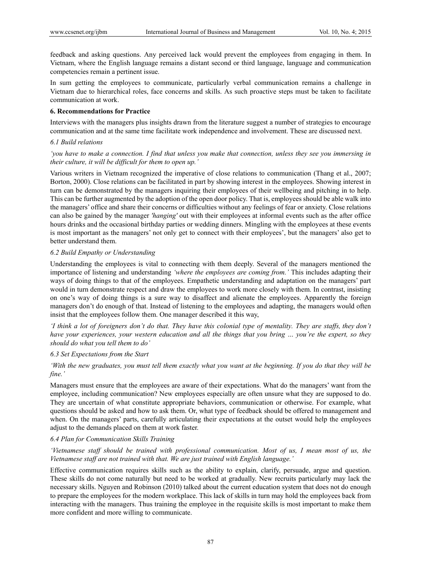feedback and asking questions. Any perceived lack would prevent the employees from engaging in them. In Vietnam, where the English language remains a distant second or third language, language and communication competencies remain a pertinent issue.

In sum getting the employees to communicate, particularly verbal communication remains a challenge in Vietnam due to hierarchical roles, face concerns and skills. As such proactive steps must be taken to facilitate communication at work.

## **6. Recommendations for Practice**

Interviews with the managers plus insights drawn from the literature suggest a number of strategies to encourage communication and at the same time facilitate work independence and involvement. These are discussed next.

#### *6.1 Build relations*

*'you have to make a connection. I find that unless you make that connection, unless they see you immersing in their culture, it will be difficult for them to open up.'* 

Various writers in Vietnam recognized the imperative of close relations to communication (Thang et al., 2007; Borton, 2000). Close relations can be facilitated in part by showing interest in the employees. Showing interest in turn can be demonstrated by the managers inquiring their employees of their wellbeing and pitching in to help. This can be further augmented by the adoption of the open door policy. That is, employees should be able walk into the managers' office and share their concerns or difficulties without any feelings of fear or anxiety. Close relations can also be gained by the manager *'hanging'* out with their employees at informal events such as the after office hours drinks and the occasional birthday parties or wedding dinners. Mingling with the employees at these events is most important as the managers' not only get to connect with their employees', but the managers' also get to better understand them.

#### *6.2 Build Empathy or Understanding*

Understanding the employees is vital to connecting with them deeply. Several of the managers mentioned the importance of listening and understanding *'where the employees are coming from.'* This includes adapting their ways of doing things to that of the employees. Empathetic understanding and adaptation on the managers' part would in turn demonstrate respect and draw the employees to work more closely with them. In contrast, insisting on one's way of doing things is a sure way to disaffect and alienate the employees. Apparently the foreign managers don't do enough of that. Instead of listening to the employees and adapting, the managers would often insist that the employees follow them. One manager described it this way,

*'I think a lot of foreigners don't do that. They have this colonial type of mentality. They are staffs, they don't have your experiences, your western education and all the things that you bring … you're the expert, so they should do what you tell them to do'* 

#### *6.3 Set Expectations from the Start*

*'With the new graduates, you must tell them exactly what you want at the beginning. If you do that they will be fine.'* 

Managers must ensure that the employees are aware of their expectations. What do the managers' want from the employee, including communication? New employees especially are often unsure what they are supposed to do. They are uncertain of what constitute appropriate behaviors, communication or otherwise. For example, what questions should be asked and how to ask them. Or, what type of feedback should be offered to management and when. On the managers' parts, carefully articulating their expectations at the outset would help the employees adjust to the demands placed on them at work faster.

#### *6.4 Plan for Communication Skills Training*

*'Vietnamese staff should be trained with professional communication. Most of us, I mean most of us, the Vietnamese staff are not trained with that. We are just trained with English language.'* 

Effective communication requires skills such as the ability to explain, clarify, persuade, argue and question. These skills do not come naturally but need to be worked at gradually. New recruits particularly may lack the necessary skills. Nguyen and Robinson (2010) talked about the current education system that does not do enough to prepare the employees for the modern workplace. This lack of skills in turn may hold the employees back from interacting with the managers. Thus training the employee in the requisite skills is most important to make them more confident and more willing to communicate.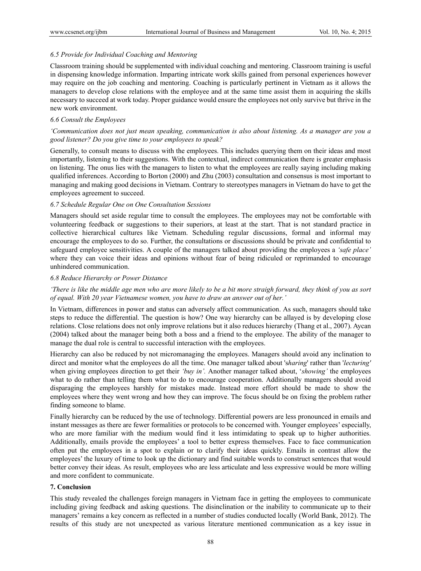## *6.5 Provide for Individual Coaching and Mentoring*

Classroom training should be supplemented with individual coaching and mentoring. Classroom training is useful in dispensing knowledge information. Imparting intricate work skills gained from personal experiences however may require on the job coaching and mentoring. Coaching is particularly pertinent in Vietnam as it allows the managers to develop close relations with the employee and at the same time assist them in acquiring the skills necessary to succeed at work today. Proper guidance would ensure the employees not only survive but thrive in the new work environment.

## *6.6 Consult the Employees*

*'Communication does not just mean speaking, communication is also about listening. As a manager are you a good listener? Do you give time to your employees to speak?* 

Generally, to consult means to discuss with the employees. This includes querying them on their ideas and most importantly, listening to their suggestions. With the contextual, indirect communication there is greater emphasis on listening. The onus lies with the managers to listen to what the employees are really saying including making qualified inferences. According to Borton (2000) and Zhu (2003) consultation and consensus is most important to managing and making good decisions in Vietnam. Contrary to stereotypes managers in Vietnam do have to get the employees agreement to succeed.

## *6.7 Schedule Regular One on One Consultation Sessions*

Managers should set aside regular time to consult the employees. The employees may not be comfortable with volunteering feedback or suggestions to their superiors, at least at the start. That is not standard practice in collective hierarchical cultures like Vietnam. Scheduling regular discussions, formal and informal may encourage the employees to do so. Further, the consultations or discussions should be private and confidential to safeguard employee sensitivities. A couple of the managers talked about providing the employees a *'safe place'* where they can voice their ideas and opinions without fear of being ridiculed or reprimanded to encourage unhindered communication.

## *6.8 Reduce Hierarchy or Power Distance*

*'There is like the middle age men who are more likely to be a bit more straigh forward, they think of you as sort of equal. With 20 year Vietnamese women, you have to draw an answer out of her.'* 

In Vietnam, differences in power and status can adversely affect communication. As such, managers should take steps to reduce the differential. The question is how? One way hierarchy can be allayed is by developing close relations. Close relations does not only improve relations but it also reduces hierarchy (Thang et al., 2007). Aycan (2004) talked about the manager being both a boss and a friend to the employee. The ability of the manager to manage the dual role is central to successful interaction with the employees.

Hierarchy can also be reduced by not micromanaging the employees. Managers should avoid any inclination to direct and monitor what the employees do all the time. One manager talked about 's*haring*' rather than '*lecturing'* when giving employees direction to get their *'buy in'.* Another manager talked about, '*showing'* the employees what to do rather than telling them what to do to encourage cooperation. Additionally managers should avoid disparaging the employees harshly for mistakes made. Instead more effort should be made to show the employees where they went wrong and how they can improve. The focus should be on fixing the problem rather finding someone to blame.

Finally hierarchy can be reduced by the use of technology. Differential powers are less pronounced in emails and instant messages as there are fewer formalities or protocols to be concerned with. Younger employees' especially, who are more familiar with the medium would find it less intimidating to speak up to higher authorities. Additionally, emails provide the employees' a tool to better express themselves. Face to face communication often put the employees in a spot to explain or to clarify their ideas quickly. Emails in contrast allow the employees' the luxury of time to look up the dictionary and find suitable words to construct sentences that would better convey their ideas. As result, employees who are less articulate and less expressive would be more willing and more confident to communicate.

## **7. Conclusion**

This study revealed the challenges foreign managers in Vietnam face in getting the employees to communicate including giving feedback and asking questions. The disinclination or the inability to communicate up to their managers' remains a key concern as reflected in a number of studies conducted locally (World Bank, 2012). The results of this study are not unexpected as various literature mentioned communication as a key issue in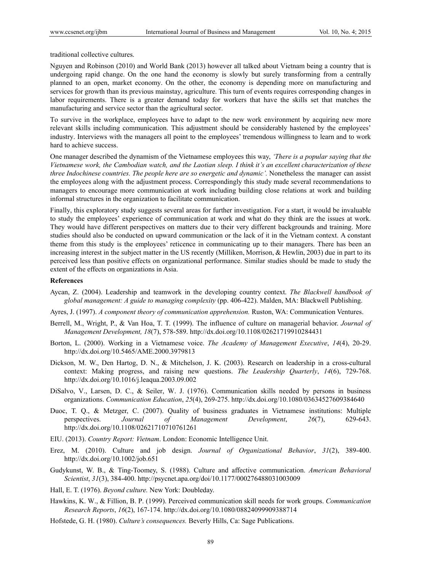traditional collective cultures.

Nguyen and Robinson (2010) and World Bank (2013) however all talked about Vietnam being a country that is undergoing rapid change. On the one hand the economy is slowly but surely transforming from a centrally planned to an open, market economy. On the other, the economy is depending more on manufacturing and services for growth than its previous mainstay, agriculture. This turn of events requires corresponding changes in labor requirements. There is a greater demand today for workers that have the skills set that matches the manufacturing and service sector than the agricultural sector.

To survive in the workplace, employees have to adapt to the new work environment by acquiring new more relevant skills including communication. This adjustment should be considerably hastened by the employees' industry. Interviews with the managers all point to the employees' tremendous willingness to learn and to work hard to achieve success.

One manager described the dynamism of the Vietnamese employees this way, *'There is a popular saying that the Vietnamese work, the Cambodian watch, and the Laotian sleep. I think it's an excellent characterization of these three Indochinese countries. The people here are so energetic and dynamic'*. Nonetheless the manager can assist the employees along with the adjustment process. Correspondingly this study made several recommendations to managers to encourage more communication at work including building close relations at work and building informal structures in the organization to facilitate communication.

Finally, this exploratory study suggests several areas for further investigation. For a start, it would be invaluable to study the employees' experience of communication at work and what do they think are the issues at work. They would have different perspectives on matters due to their very different backgrounds and training. More studies should also be conducted on upward communication or the lack of it in the Vietnam context. A constant theme from this study is the employees' reticence in communicating up to their managers. There has been an increasing interest in the subject matter in the US recently (Milliken, Morrison, & Hewlin, 2003) due in part to its perceived less than positive effects on organizational performance. Similar studies should be made to study the extent of the effects on organizations in Asia.

#### **References**

- Aycan, Z. (2004). Leadership and teamwork in the developing country context. *The Blackwell handbook of global management: A guide to managing complexity* (pp. 406-422). Malden, MA: Blackwell Publishing.
- Ayres, J. (1997). *A component theory of communication apprehension.* Ruston, WA: Communication Ventures.
- Berrell, M., Wright, P., & Van Hoa, T. T. (1999). The influence of culture on managerial behavior. *Journal of Management Development, 18*(7), 578-589. http://dx.doi.org/10.1108/02621719910284431
- Borton, L. (2000). Working in a Vietnamese voice. *The Academy of Management Executive*, *14*(4), 20-29. http://dx.doi.org/10.5465/AME.2000.3979813
- Dickson, M. W., Den Hartog, D. N., & Mitchelson, J. K. (2003). Research on leadership in a cross-cultural context: Making progress, and raising new questions. *The Leadership Quarterly*, *14*(6), 729-768. http://dx.doi.org/10.1016/j.leaqua.2003.09.002
- DiSalvo, V., Larsen, D. C., & Seiler, W. J. (1976). Communication skills needed by persons in business organizations. *Communication Education*, *25*(4), 269-275. http://dx.doi.org/10.1080/03634527609384640
- Duoc, T. Q., & Metzger, C. (2007). Quality of business graduates in Vietnamese institutions: Multiple perspectives. *Journal of Management Development*, *26*(7), 629-643. http://dx.doi.org/10.1108/02621710710761261
- EIU. (2013). *Country Report: Vietnam*. London: Economic Intelligence Unit.
- Erez, M. (2010). Culture and job design. *Journal of Organizational Behavior*, *31*(2), 389-400. http://dx.doi.org/10.1002/job.651
- Gudykunst, W. B., & Ting-Toomey, S. (1988). Culture and affective communication. *American Behavioral Scientist*, *31*(3), 384-400. http://psycnet.apa.org/doi/10.1177/000276488031003009
- Hall, E. T. (1976). *Beyond culture.* New York: Doubleday.
- Hawkins, K. W., & Fillion, B. P. (1999). Perceived communication skill needs for work groups. *Communication Research Reports*, *16*(2), 167-174. http://dx.doi.org/10.1080/08824099909388714
- Hofstede, G. H. (1980). *Culture's consequences.* Beverly Hills, Ca: Sage Publications.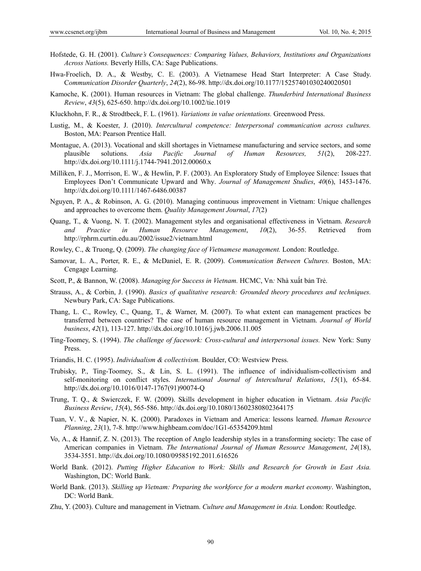- Hofstede, G. H. (2001). *Culture's Consequences: Comparing Values, Behaviors, Institutions and Organizations Across Nations.* Beverly Hills, CA: Sage Publications.
- Hwa-Froelich, D. A., & Westby, C. E. (2003). A Vietnamese Head Start Interpreter: A Case Study. C*ommunication Disorder Quarterly*, *24*(2), 86-98. http://dx.doi.org/10.1177/15257401030240020501
- Kamoche, K. (2001). Human resources in Vietnam: The global challenge. *Thunderbird International Business Review*, *43*(5), 625-650. http://dx.doi.org/10.1002/tie.1019
- Kluckhohn, F. R., & Strodtbeck, F. L. (1961). *Variations in value orientations.* Greenwood Press.
- Lustig, M., & Koester, J. (2010). *Intercultural competence: Interpersonal communication across cultures.* Boston, MA: Pearson Prentice Hall.
- Montague, A. (2013). Vocational and skill shortages in Vietnamese manufacturing and service sectors, and some plausible solutions. *Asia Pacific Journal of Human Resources, 51*(2), 208-227. http://dx.doi.org/10.1111/j.1744-7941.2012.00060.x
- Milliken, F. J., Morrison, E. W., & Hewlin, P. F. (2003). An Exploratory Study of Employee Silence: Issues that Employees Don't Communicate Upward and Why. *Journal of Management Studies*, *40*(6), 1453-1476. http://dx.doi.org/10.1111/1467-6486.00387
- Nguyen, P. A., & Robinson, A. G. (2010). Managing continuous improvement in Vietnam: Unique challenges and approaches to overcome them. *Quality Management Journal*, *17*(2)
- Quang, T., & Vuong, N. T. (2002). Management styles and organisational effectiveness in Vietnam. *Research and Practice in Human Resource Management*, *10*(2), 36-55. Retrieved from http://rphrm.curtin.edu.au/2002/issue2/vietnam.html
- Rowley, C., & Truong, Q. (2009). *The changing face of Vietnamese management.* London: Routledge.
- Samovar, L. A., Porter, R. E., & McDaniel, E. R. (2009). *Communication Between Cultures.* Boston, MA: Cengage Learning.
- Scott, P., & Bannon, W. (2008). *Managing for Success in Vietnam.* HCMC, Vn*:* Nhà xuất bản Trẻ.
- Strauss, A., & Corbin, J. (1990). *Basics of qualitative research: Grounded theory procedures and techniques.* Newbury Park, CA: Sage Publications.
- Thang, L. C., Rowley, C., Quang, T., & Warner, M. (2007). To what extent can management practices be transferred between countries? The case of human resource management in Vietnam. *Journal of World business*, *42*(1), 113-127. http://dx.doi.org/10.1016/j.jwb.2006.11.005
- Ting-Toomey, S. (1994). *The challenge of facework: Cross-cultural and interpersonal issues.* New York: Suny Press.
- Triandis, H. C. (1995). *Individualism & collectivism.* Boulder, CO: Westview Press.
- Trubisky, P., Ting-Toomey, S., & Lin, S. L. (1991). The influence of individualism-collectivism and self-monitoring on conflict styles. *International Journal of Intercultural Relations*, *15*(1), 65-84. http://dx.doi.org/10.1016/0147-1767(91)90074-Q
- Trung, T. Q., & Swierczek, F. W. (2009). Skills development in higher education in Vietnam. *Asia Pacific Business Review*, *15*(4), 565-586. http://dx.doi.org/10.1080/13602380802364175
- Tuan, V. V., & Napier, N. K. (2000). Paradoxes in Vietnam and America: lessons learned. *Human Resource Planning*, *23*(1), 7-8. http://www.highbeam.com/doc/1G1-65354209.html
- Vo, A., & Hannif, Z. N. (2013). The reception of Anglo leadership styles in a transforming society: The case of American companies in Vietnam. *The International Journal of Human Resource Management*, *24*(18), 3534-3551. http://dx.doi.org/10.1080/09585192.2011.616526
- World Bank. (2012). *Putting Higher Education to Work: Skills and Research for Growth in East Asia.*  Washington, DC: World Bank.
- World Bank. (2013). *Skilling up Vietnam: Preparing the workforce for a modern market economy*. Washington, DC: World Bank.
- Zhu, Y. (2003). Culture and management in Vietnam. *Culture and Management in Asia.* London: Routledge.